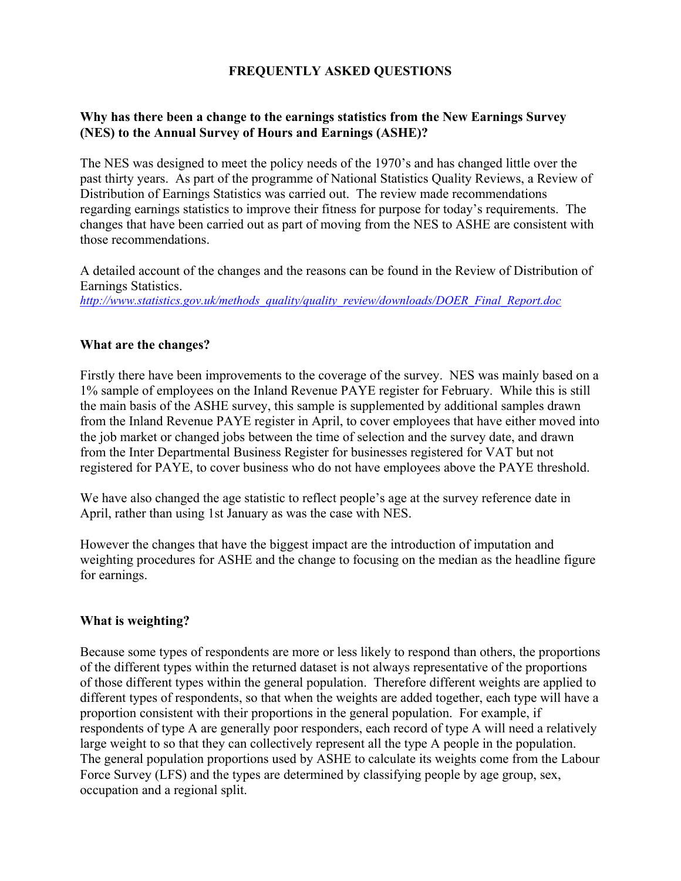# **FREQUENTLY ASKED QUESTIONS**

## **Why has there been a change to the earnings statistics from the New Earnings Survey (NES) to the Annual Survey of Hours and Earnings (ASHE)?**

The NES was designed to meet the policy needs of the 1970's and has changed little over the past thirty years. As part of the programme of National Statistics Quality Reviews, a Review of Distribution of Earnings Statistics was carried out. The review made recommendations regarding earnings statistics to improve their fitness for purpose for today's requirements. The changes that have been carried out as part of moving from the NES to ASHE are consistent with those recommendations.

A detailed account of the changes and the reasons can be found in the Review of Distribution of Earnings Statistics. *[http://www.statistics.gov.uk/methods\\_quality/quality\\_review/downloads/DOER\\_Final\\_Report.doc](http://www.statistics.gov.uk/methods_quality/quality_review/downloads/DOER_Final_Report.doc)*

## **What are the changes?**

Firstly there have been improvements to the coverage of the survey. NES was mainly based on a 1% sample of employees on the Inland Revenue PAYE register for February. While this is still the main basis of the ASHE survey, this sample is supplemented by additional samples drawn from the Inland Revenue PAYE register in April, to cover employees that have either moved into the job market or changed jobs between the time of selection and the survey date, and drawn from the Inter Departmental Business Register for businesses registered for VAT but not registered for PAYE, to cover business who do not have employees above the PAYE threshold.

We have also changed the age statistic to reflect people's age at the survey reference date in April, rather than using 1st January as was the case with NES.

However the changes that have the biggest impact are the introduction of imputation and weighting procedures for ASHE and the change to focusing on the median as the headline figure for earnings.

#### **What is weighting?**

Because some types of respondents are more or less likely to respond than others, the proportions of the different types within the returned dataset is not always representative of the proportions of those different types within the general population. Therefore different weights are applied to different types of respondents, so that when the weights are added together, each type will have a proportion consistent with their proportions in the general population. For example, if respondents of type A are generally poor responders, each record of type A will need a relatively large weight to so that they can collectively represent all the type A people in the population. The general population proportions used by ASHE to calculate its weights come from the Labour Force Survey (LFS) and the types are determined by classifying people by age group, sex, occupation and a regional split.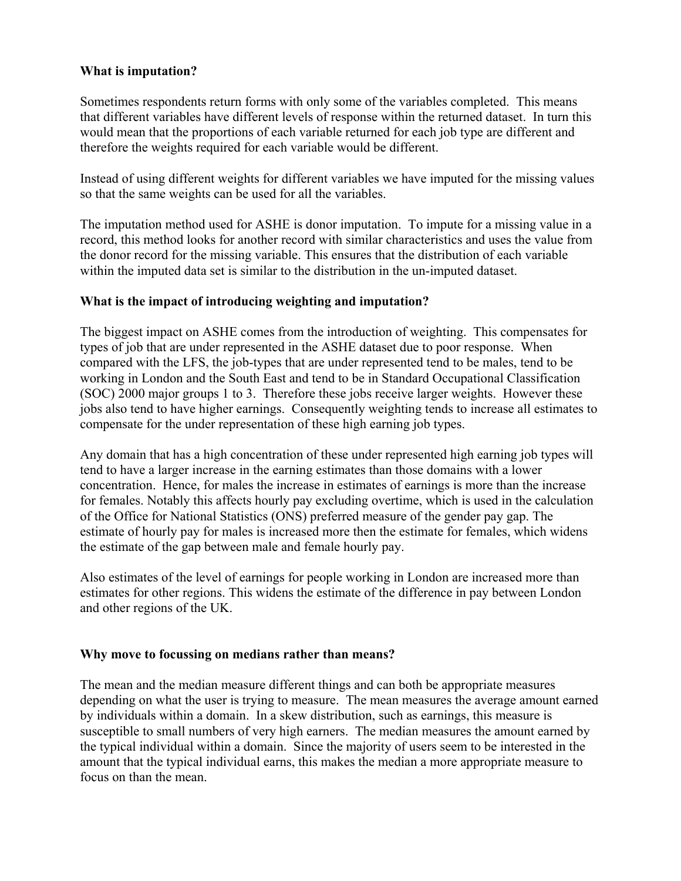## **What is imputation?**

Sometimes respondents return forms with only some of the variables completed. This means that different variables have different levels of response within the returned dataset. In turn this would mean that the proportions of each variable returned for each job type are different and therefore the weights required for each variable would be different.

Instead of using different weights for different variables we have imputed for the missing values so that the same weights can be used for all the variables.

The imputation method used for ASHE is donor imputation. To impute for a missing value in a record, this method looks for another record with similar characteristics and uses the value from the donor record for the missing variable. This ensures that the distribution of each variable within the imputed data set is similar to the distribution in the un-imputed dataset.

## **What is the impact of introducing weighting and imputation?**

The biggest impact on ASHE comes from the introduction of weighting. This compensates for types of job that are under represented in the ASHE dataset due to poor response. When compared with the LFS, the job-types that are under represented tend to be males, tend to be working in London and the South East and tend to be in Standard Occupational Classification (SOC) 2000 major groups 1 to 3. Therefore these jobs receive larger weights. However these jobs also tend to have higher earnings. Consequently weighting tends to increase all estimates to compensate for the under representation of these high earning job types.

Any domain that has a high concentration of these under represented high earning job types will tend to have a larger increase in the earning estimates than those domains with a lower concentration. Hence, for males the increase in estimates of earnings is more than the increase for females. Notably this affects hourly pay excluding overtime, which is used in the calculation of the Office for National Statistics (ONS) preferred measure of the gender pay gap. The estimate of hourly pay for males is increased more then the estimate for females, which widens the estimate of the gap between male and female hourly pay.

Also estimates of the level of earnings for people working in London are increased more than estimates for other regions. This widens the estimate of the difference in pay between London and other regions of the UK.

#### **Why move to focussing on medians rather than means?**

The mean and the median measure different things and can both be appropriate measures depending on what the user is trying to measure. The mean measures the average amount earned by individuals within a domain. In a skew distribution, such as earnings, this measure is susceptible to small numbers of very high earners. The median measures the amount earned by the typical individual within a domain. Since the majority of users seem to be interested in the amount that the typical individual earns, this makes the median a more appropriate measure to focus on than the mean.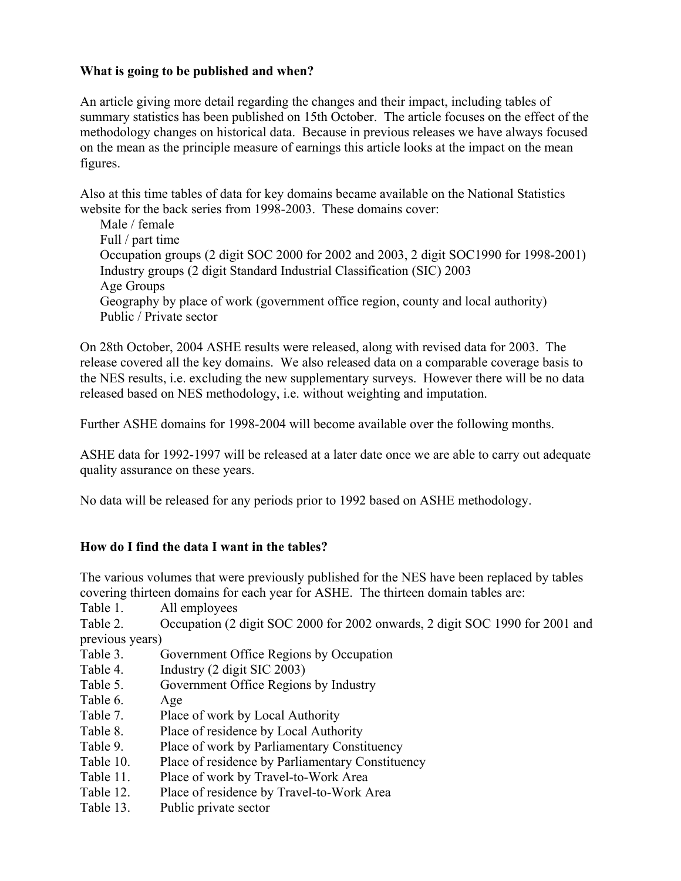# **What is going to be published and when?**

An article giving more detail regarding the changes and their impact, including tables of summary statistics has been published on 15th October. The article focuses on the effect of the methodology changes on historical data. Because in previous releases we have always focused on the mean as the principle measure of earnings this article looks at the impact on the mean figures.

Also at this time tables of data for key domains became available on the National Statistics website for the back series from 1998-2003. These domains cover:

Male / female Full / part time Occupation groups (2 digit SOC 2000 for 2002 and 2003, 2 digit SOC1990 for 1998-2001) Industry groups (2 digit Standard Industrial Classification (SIC) 2003 Age Groups Geography by place of work (government office region, county and local authority) Public / Private sector

On 28th October, 2004 ASHE results were released, along with revised data for 2003. The release covered all the key domains. We also released data on a comparable coverage basis to the NES results, i.e. excluding the new supplementary surveys. However there will be no data released based on NES methodology, i.e. without weighting and imputation.

Further ASHE domains for 1998-2004 will become available over the following months.

ASHE data for 1992-1997 will be released at a later date once we are able to carry out adequate quality assurance on these years.

No data will be released for any periods prior to 1992 based on ASHE methodology.

# **How do I find the data I want in the tables?**

The various volumes that were previously published for the NES have been replaced by tables covering thirteen domains for each year for ASHE. The thirteen domain tables are:

Table 1. All employees

Table 2. Occupation (2 digit SOC 2000 for 2002 onwards, 2 digit SOC 1990 for 2001 and previous years)

- Table 3. Government Office Regions by Occupation
- Table 4. Industry (2 digit SIC 2003)
- Table 5. Government Office Regions by Industry
- Table 6. Age
- Table 7. Place of work by Local Authority
- Table 8. Place of residence by Local Authority
- Table 9. Place of work by Parliamentary Constituency
- Table 10. Place of residence by Parliamentary Constituency
- Table 11. Place of work by Travel-to-Work Area
- Table 12. Place of residence by Travel-to-Work Area
- Table 13. Public private sector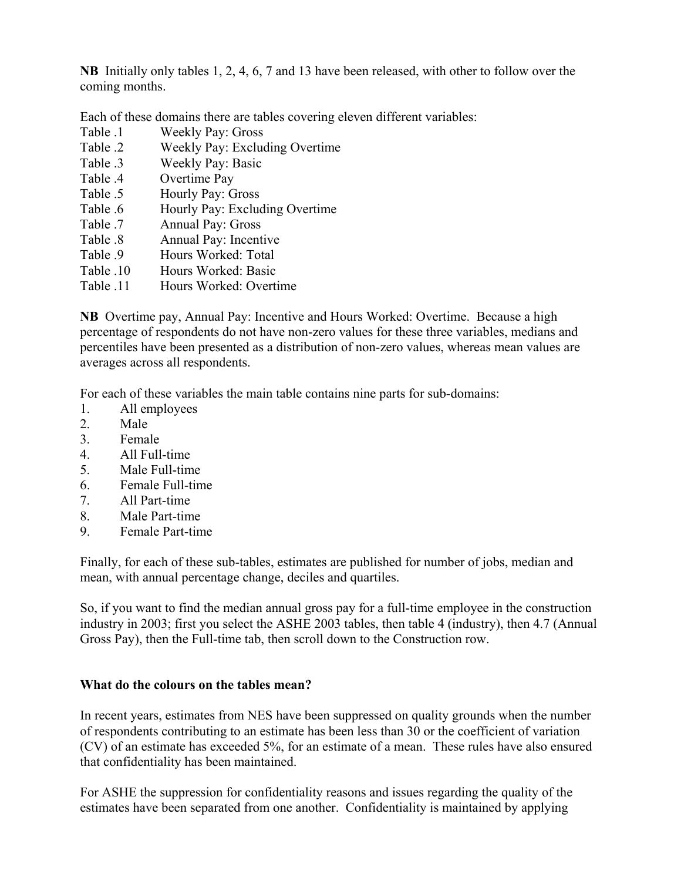**NB** Initially only tables 1, 2, 4, 6, 7 and 13 have been released, with other to follow over the coming months.

Each of these domains there are tables covering eleven different variables:

- Table .1 Weekly Pay: Gross
- Table .2 Weekly Pay: Excluding Overtime
- Table .3 Weekly Pay: Basic
- Table .4 Overtime Pay
- Table .5 Hourly Pay: Gross
- Table .6 Hourly Pay: Excluding Overtime
- Table .7 Annual Pay: Gross
- Table .8 Annual Pay: Incentive
- Table .9 Hours Worked: Total
- Table .10 Hours Worked: Basic
- Table .11 Hours Worked: Overtime

**NB** Overtime pay, Annual Pay: Incentive and Hours Worked: Overtime. Because a high percentage of respondents do not have non-zero values for these three variables, medians and percentiles have been presented as a distribution of non-zero values, whereas mean values are averages across all respondents.

For each of these variables the main table contains nine parts for sub-domains:

- 1. All employees
- 2. Male
- 3. Female
- 4. All Full-time
- 5. Male Full-time
- 6. Female Full-time
- 7. All Part-time
- 8. Male Part-time
- 9. Female Part-time

Finally, for each of these sub-tables, estimates are published for number of jobs, median and mean, with annual percentage change, deciles and quartiles.

So, if you want to find the median annual gross pay for a full-time employee in the construction industry in 2003; first you select the ASHE 2003 tables, then table 4 (industry), then 4.7 (Annual Gross Pay), then the Full-time tab, then scroll down to the Construction row.

# **What do the colours on the tables mean?**

In recent years, estimates from NES have been suppressed on quality grounds when the number of respondents contributing to an estimate has been less than 30 or the coefficient of variation (CV) of an estimate has exceeded 5%, for an estimate of a mean. These rules have also ensured that confidentiality has been maintained.

For ASHE the suppression for confidentiality reasons and issues regarding the quality of the estimates have been separated from one another. Confidentiality is maintained by applying